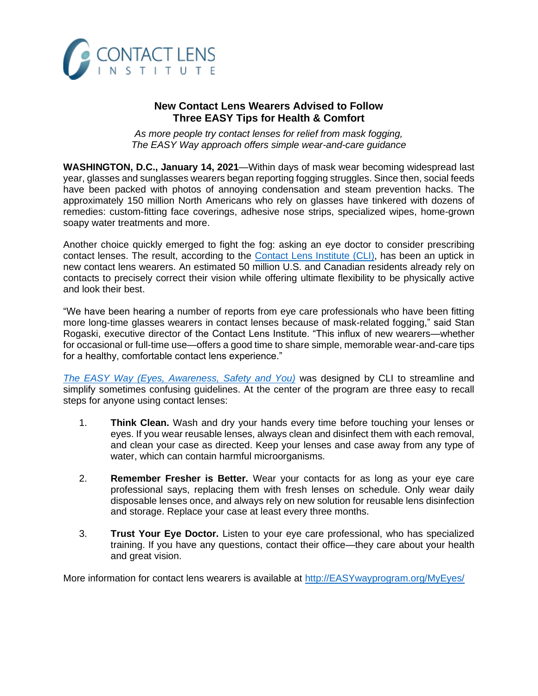

## **New Contact Lens Wearers Advised to Follow Three EASY Tips for Health & Comfort**

*As more people try contact lenses for relief from mask fogging, The EASY Way approach offers simple wear-and-care guidance* 

**WASHINGTON, D.C., January 14, 2021**—Within days of mask wear becoming widespread last year, glasses and sunglasses wearers began reporting fogging struggles. Since then, social feeds have been packed with photos of annoying condensation and steam prevention hacks. The approximately 150 million North Americans who rely on glasses have tinkered with dozens of remedies: custom-fitting face coverings, adhesive nose strips, specialized wipes, home-grown soapy water treatments and more.

Another choice quickly emerged to fight the fog: asking an eye doctor to consider prescribing contact lenses. The result, according to the [Contact Lens Institute](https://www.contactlensinstitute.org/) (CLI), has been an uptick in new contact lens wearers. An estimated 50 million U.S. and Canadian residents already rely on contacts to precisely correct their vision while offering ultimate flexibility to be physically active and look their best.

"We have been hearing a number of reports from eye care professionals who have been fitting more long-time glasses wearers in contact lenses because of mask-related fogging," said Stan Rogaski, executive director of the Contact Lens Institute. "This influx of new wearers—whether for occasional or full-time use—offers a good time to share simple, memorable wear-and-care tips for a healthy, comfortable contact lens experience."

*[The EASY Way \(Eyes, Awareness, Safety and You\)](http://easywayprogram.org/MyEyes/)* was designed by CLI to streamline and simplify sometimes confusing guidelines. At the center of the program are three easy to recall steps for anyone using contact lenses:

- 1. **Think Clean.** Wash and dry your hands every time before touching your lenses or eyes. If you wear reusable lenses, always clean and disinfect them with each removal, and clean your case as directed. Keep your lenses and case away from any type of water, which can contain harmful microorganisms.
- 2. **Remember Fresher is Better.** Wear your contacts for as long as your eye care professional says, replacing them with fresh lenses on schedule. Only wear daily disposable lenses once, and always rely on new solution for reusable lens disinfection and storage. Replace your case at least every three months.
- 3. **Trust Your Eye Doctor.** Listen to your eye care professional, who has specialized training. If you have any questions, contact their office—they care about your health and great vision.

More information for contact lens wearers is available at [http://EASYwayprogram.org/MyEyes/](http://easywayprogram.org/MyEyes/)